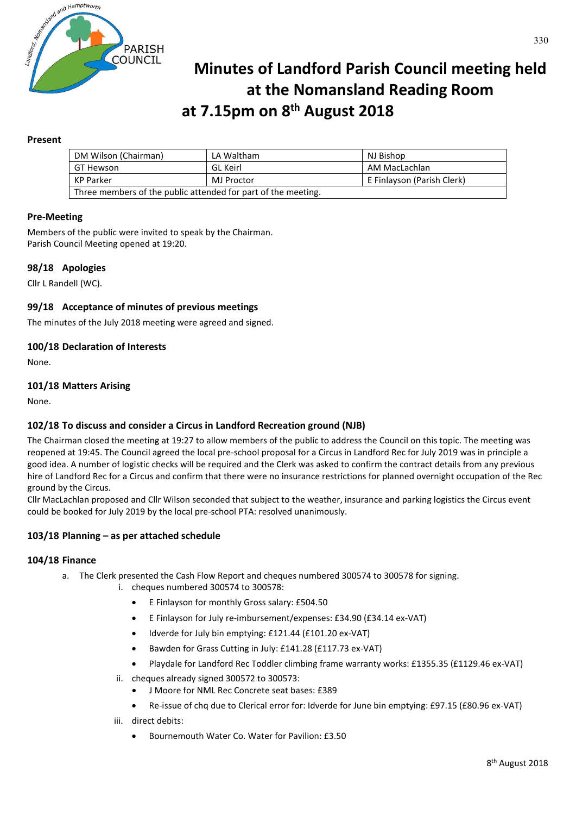

# **Minutes of Landford Parish Council meeting held at the Nomansland Reading Room at 7.15pm on 8th August 2018**

## **Present**

| DM Wilson (Chairman)                                          | LA Waltham | NJ Bishop                  |
|---------------------------------------------------------------|------------|----------------------------|
| GT Hewson                                                     | GL Keirl   | AM MacLachlan              |
| KP Parker                                                     | MJ Proctor | E Finlayson (Parish Clerk) |
| Three members of the public attended for part of the meeting. |            |                            |

## **Pre-Meeting**

Members of the public were invited to speak by the Chairman. Parish Council Meeting opened at 19:20.

## **98/18 Apologies**

Cllr L Randell (WC).

## **99/18 Acceptance of minutes of previous meetings**

The minutes of the July 2018 meeting were agreed and signed.

## **100/18 Declaration of Interests**

None.

## **101/18 Matters Arising**

None.

## **102/18 To discuss and consider a Circus in Landford Recreation ground (NJB)**

The Chairman closed the meeting at 19:27 to allow members of the public to address the Council on this topic. The meeting was reopened at 19:45. The Council agreed the local pre-school proposal for a Circus in Landford Rec for July 2019 was in principle a good idea. A number of logistic checks will be required and the Clerk was asked to confirm the contract details from any previous hire of Landford Rec for a Circus and confirm that there were no insurance restrictions for planned overnight occupation of the Rec ground by the Circus.

Cllr MacLachlan proposed and Cllr Wilson seconded that subject to the weather, insurance and parking logistics the Circus event could be booked for July 2019 by the local pre-school PTA: resolved unanimously.

## **103/18 Planning – as per attached schedule**

#### **104/18 Finance**

- a. The Clerk presented the Cash Flow Report and cheques numbered 300574 to 300578 for signing.
	- i. cheques numbered 300574 to 300578:
		- E Finlayson for monthly Gross salary: £504.50
		- E Finlayson for July re-imbursement/expenses: £34.90 (£34.14 ex-VAT)
		- Idverde for July bin emptying: £121.44 (£101.20 ex-VAT)
		- Bawden for Grass Cutting in July: £141.28 (£117.73 ex-VAT)
		- Playdale for Landford Rec Toddler climbing frame warranty works: £1355.35 (£1129.46 ex-VAT)
	- ii. cheques already signed 300572 to 300573:
		- J Moore for NML Rec Concrete seat bases: £389
		- Re-issue of chq due to Clerical error for: Idverde for June bin emptying: £97.15 (£80.96 ex-VAT)
	- iii. direct debits:
		- Bournemouth Water Co. Water for Pavilion: £3.50